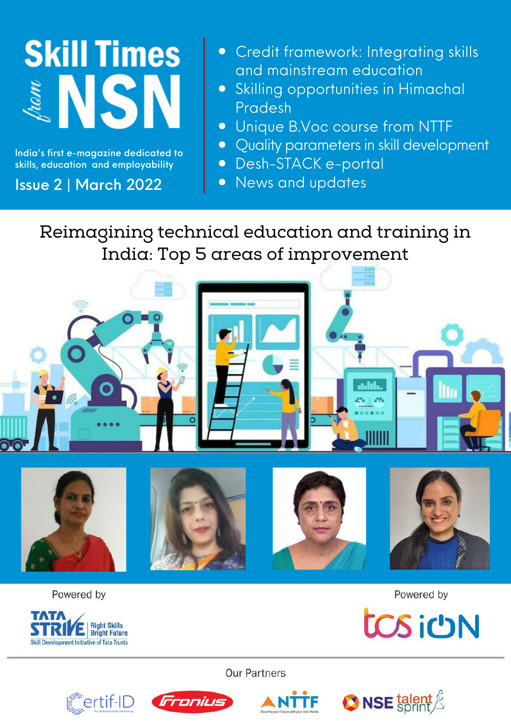# **Skill Times ANSN**

India's first e-magazine dedicated to skills, education and employability

### Issue 2 | March 2022

- Credit framework: Integrating skills and mainstream education
- Skilling opportunities in Himachal Pradesh
- Unique B.Voc course from NTTF
- Quality parameters in skill development
- Desh-STACK e-portal
- News and updates

# Reimagining technical education and training in India: Top 5 areas of improvement



Powered by



Powered by



**Our Partners** 







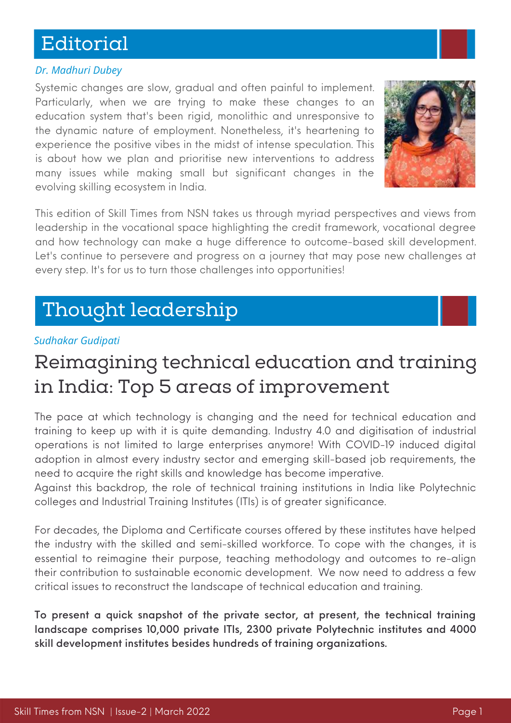# Editorial

#### *Dr. Madhuri Dubey*

Systemic changes are slow, gradual and often painful to implement. Particularly, when we are trying to make these changes to an education system that's been rigid, monolithic and unresponsive to the dynamic nature of employment. Nonetheless, it's heartening to experience the positive vibes in the midst of intense speculation. This is about how we plan and prioritise new interventions to address many issues while making small but significant changes in the evolving skilling ecosystem in India.



This edition of Skill Times from NSN takes us through myriad perspectives and views from leadership in the vocational space highlighting the credit framework, vocational degree and how technology can make a huge difference to outcome-based skill development. Let's continue to persevere and progress on a journey that may pose new challenges at every step. It's for us to turn those challenges into opportunities!

# Thought leadership

#### *Sudhakar Gudipati*

# Reimagining technical education and training in India: Top 5 areas of improvement

The pace at which technology is changing and the need for technical education and training to keep up with it is quite demanding. Industry 4.0 and digitisation of industrial operations is not limited to large enterprises anymore! With COVID-19 induced digital adoption in almost every industry sector and emerging skill-based job requirements, the need to acquire the right skills and knowledge has become imperative.

Against this backdrop, the role of technical training institutions in India like Polytechnic colleges and Industrial Training Institutes (ITIs) is of greater significance.

For decades, the Diploma and Certificate courses offered by these institutes have helped the industry with the skilled and semi-skilled workforce. To cope with the changes, it is essential to reimagine their purpose, teaching methodology and outcomes to re-align their contribution to sustainable economic development. We now need to address a few critical issues to reconstruct the landscape of technical education and training.

To present a quick snapshot of the private sector, at present, the technical training landscape comprises 10,000 private ITIs, 2300 private Polytechnic institutes and 4000 skill development institutes besides hundreds of training organizations.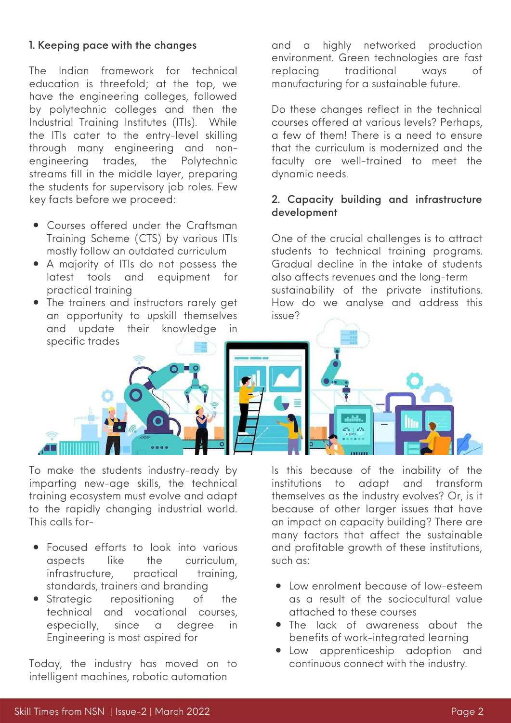#### 1. Keeping pace with the changes

The Indian framework for technical education is threefold; at the top, we have the engineering colleges, followed by polytechnic colleges and then the Industrial Training Institutes (ITIs). While the ITIs cater to the entry-level skilling through many engineering and nonengineering trades, the Polytechnic streams fill in the middle layer, preparing the students for supervisory job roles. Few key facts before we proceed:

- Courses offered under the Craftsman Training Scheme (CTS) by various ITIs mostly follow an outdated curriculum
- A majority of ITIs do not possess the latest tools and equipment for practical training
- The trainers and instructors rarely get an opportunity to upskill themselves and update their knowledge in specific trades



To make the students industry-ready by imparting new-age skills, the technical training ecosystem must evolve and adapt to the rapidly changing industrial world. This calls for-

- Focused efforts to look into various aspects like the curriculum, infrastructure, practical training, standards, trainers and branding
- Strategic repositioning of the technical and vocational courses, especially, since a degree in Engineering is most aspired for

Today, the industry has moved on to intelligent machines, robotic automation

and a highly networked production environment. Green technologies are fast replacing traditional ways of manufacturing for a sustainable future.

Do these changes reflect in the technical courses offered at various levels? Perhaps, a few of them! There is a need to ensure that the curriculum is modernized and the faculty are well-trained to meet the dynamic needs.

#### 2. Capacity building and infrastructure development

One of the crucial challenges is to attract students to technical training programs. Gradual decline in the intake of students also affects revenues and the long-term sustainability of the private institutions. How do we analyse and address this issue?

Is this because of the inability of the institutions to adapt and transform themselves as the industry evolves? Or, is it because of other larger issues that have an impact on capacity building? There are many factors that affect the sustainable and profitable growth of these institutions, such as:

- Low enrolment because of low-esteem as a result of the sociocultural value attached to these courses
- The lack of awareness about the benefits of work-integrated learning
- Low apprenticeship adoption and continuous connect with the industry.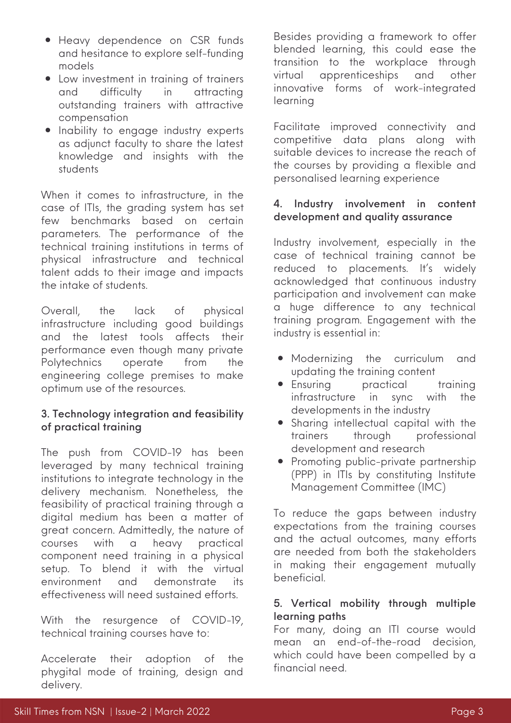- Heavy dependence on CSR funds and hesitance to explore self-funding models
- Low investment in training of trainers and difficulty in attracting outstanding trainers with attractive compensation
- **•** Inability to engage industry experts as adjunct faculty to share the latest knowledge and insights with the students

When it comes to infrastructure, in the case of ITIs, the grading system has set few benchmarks based on certain parameters. The performance of the technical training institutions in terms of physical infrastructure and technical talent adds to their image and impacts the intake of students.

Overall, the lack of physical infrastructure including good buildings and the latest tools affects their performance even though many private Polytechnics operate from the engineering college premises to make optimum use of the resources.

#### 3. Technology integration and feasibility of practical training

The push from COVID-19 has been leveraged by many technical training institutions to integrate technology in the delivery mechanism. Nonetheless, the feasibility of practical training through a digital medium has been a matter of great concern. Admittedly, the nature of courses with a heavy practical component need training in a physical setup. To blend it with the virtual environment and demonstrate its effectiveness will need sustained efforts.

With the resurgence of COVID-19, technical training courses have to:

Accelerate their adoption of the phygital mode of training, design and delivery.

Besides providing a framework to offer blended learning, this could ease the transition to the workplace through virtual apprenticeships and other innovative forms of work-integrated learning

Facilitate improved connectivity and competitive data plans along with suitable devices to increase the reach of the courses by providing a flexible and personalised learning experience

#### 4. Industry involvement in content development and quality assurance

Industry involvement, especially in the case of technical training cannot be reduced to placements. It's widely acknowledged that continuous industry participation and involvement can make a huge difference to any technical training program. Engagement with the industry is essential in:

- Modernizing the curriculum and updating the training content
- Ensuring practical training infrastructure in sync with the developments in the industry
- Sharing intellectual capital with the<br>trainers throuah professional through professional development and research
- Promoting public-private partnership (PPP) in ITIs by constituting Institute Management Committee (IMC)

To reduce the gaps between industry expectations from the training courses and the actual outcomes, many efforts are needed from both the stakeholders in making their engagement mutually beneficial.

#### 5. Vertical mobility through multiple learning paths

For many, doing an ITI course would mean an end-of-the-road decision, which could have been compelled by a financial need.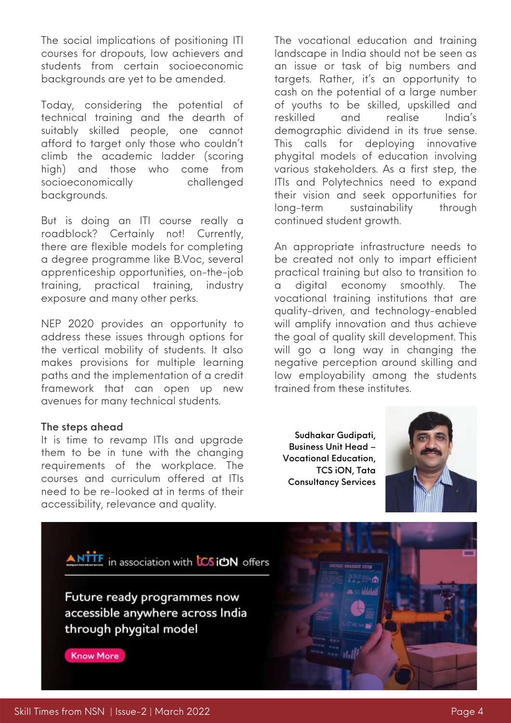The social implications of positioning ITI courses for dropouts, low achievers and students from certain socioeconomic backgrounds are yet to be amended.

Today, considering the potential of technical training and the dearth of suitably skilled people, one cannot afford to target only those who couldn't climb the academic ladder (scoring high) and those who come from socioeconomically challenged backgrounds.

But is doing an ITI course really a roadblock? Certainly not! Currently, there are flexible models for completing a degree programme like B.Voc, several apprenticeship opportunities, on-the-job training, practical training, industry exposure and many other perks.

NEP 2020 provides an opportunity to address these issues through options for the vertical mobility of students. It also makes provisions for multiple learning paths and the implementation of a credit framework that can open up new avenues for many technical students.

#### The steps ahead

It is time to revamp ITIs and upgrade them to be in tune with the changing requirements of the workplace. The courses and curriculum offered at ITIs need to be re-looked at in terms of their accessibility, relevance and quality.

The vocational education and training landscape in India should not be seen as an issue or task of big numbers and targets. Rather, it's an opportunity to cash on the potential of a large number of youths to be skilled, upskilled and reskilled and realise India's demographic dividend in its true sense. This calls for deploying innovative phygital models of education involving various stakeholders. As a first step, the ITIs and Polytechnics need to expand their vision and seek opportunities for long-term sustainability through continued student growth.

An appropriate infrastructure needs to be created not only to impart efficient practical training but also to transition to a digital economy smoothly. The vocational training institutions that are quality-driven, and technology-enabled will amplify innovation and thus achieve the goal of quality skill development. This will go a long way in changing the negative perception around skilling and low employability among the students trained from these institutes.

Sudhakar Gudipati, Business Unit Head – Vocational Education, TCS iON, Tata Consultancy Services

in asua

سلاماتنا



ANTTE in association with **LCS ION** offers

Future ready programmes now accessible anywhere across India through phygital model

**Know More**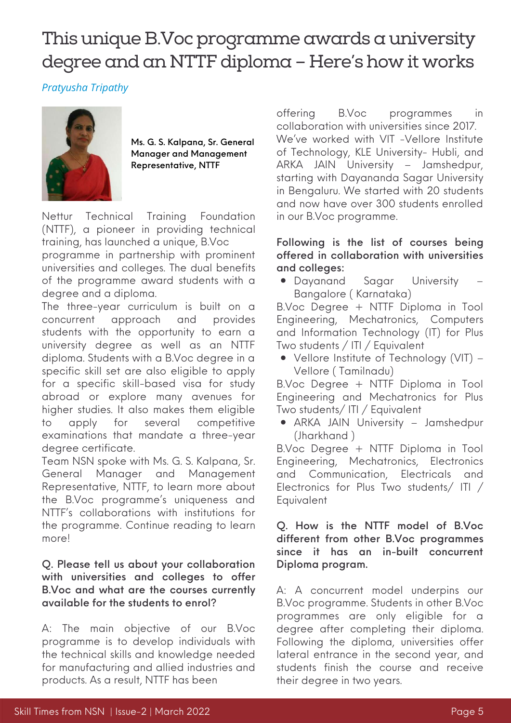# This unique B.Voc programme awards a university degree and an NTTF diploma - Here's how it works

*Pratyusha Tripathy*



Ms. G. S. Kalpana, Sr. General Manager and Management Representative, NTTF

Nettur Technical Training Foundation [\(NTTF\)](https://www.nttftrg.com/), a pioneer in providing technical training, has launched a unique, B.Voc programme in partnership with prominent universities and colleges. The dual benefits of the programme award students with a degree and a diploma.

The three-year curriculum is built on a concurrent approach and provides students with the opportunity to earn a university degree as well as an NTTF diploma. Students with a B.Voc degree in a specific skill set are also eligible to apply for a specific skill-based visa for study abroad or explore many avenues for higher studies. It also makes them eligible to apply for several competitive examinations that mandate a three-year degree certificate.

Team NSN spoke with Ms. G. S. Kalpana, Sr. General Manager and Management Representative, NTTF, to learn more about the B.Voc programme's uniqueness and NTTF's collaborations with institutions for the programme. Continue reading to learn more!

#### Q. Please tell us about your collaboration with universities and colleges to offer B.Voc and what are the courses currently available for the students to enrol?

A: The main objective of our B.Voc programme is to develop individuals with the technical skills and knowledge needed for manufacturing and allied industries and products. As a result, NTTF has been

offering B.Voc programmes in collaboration with universities since 2017. We've worked with VIT -Vellore Institute of Technology, KLE University- Hubli, and ARKA JAIN University – Jamshedpur, starting with Dayananda Sagar University in Bengaluru. We started with 20 students and now have over 300 students enrolled in our B.Voc programme.

#### Following is the list of courses being offered in collaboration with universities and colleges:

Dayanand Sagar University – Bangalore ( Karnataka)

B.Voc Degree + NTTF Diploma in Tool Engineering, Mechatronics, Computers and Information Technology (IT) for Plus Two students / ITI / Equivalent

Vellore Institute of Technology (VIT) – Vellore ( Tamilnadu)

B.Voc Degree + NTTF Diploma in Tool Engineering and Mechatronics for Plus Two students/ ITI / Equivalent

ARKA JAIN University – Jamshedpur (Jharkhand )

B.Voc Degree + NTTF Diploma in Tool Engineering, Mechatronics, Electronics and Communication, Electricals and Electronics for Plus Two students/ ITI / Equivalent

#### Q. How is the NTTF model of B.Voc different from other B.Voc programmes since it has an in-built concurrent Diploma program.

A: A concurrent model underpins our B.Voc programme. Students in other B.Voc programmes are only eligible for a degree after completing their diploma. Following the diploma, universities offer lateral entrance in the second year, and students finish the course and receive their degree in two years.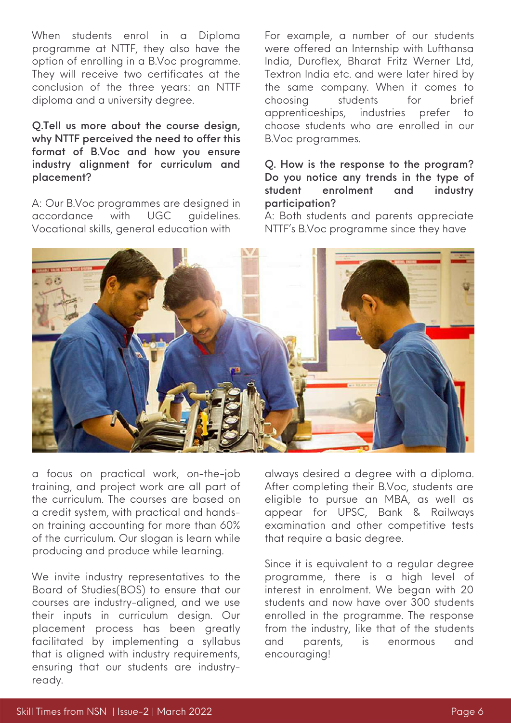When students enrol in a Diploma programme at NTTF, they also have the option of enrolling in a B.Voc programme. They will receive two certificates at the conclusion of the three years: an NTTF diploma and a university degree.

Q.Tell us more about the course design, why NTTF perceived the need to offer this format of B.Voc and how you ensure industry alignment for curriculum and placement?

A: Our B.Voc programmes are designed in accordance with UGC guidelines. Vocational skills, general education with

For example, a number of our students were offered an Internship with Lufthansa India, Duroflex, Bharat Fritz Werner Ltd, Textron India etc. and were later hired by the same company. When it comes to choosing students for brief apprenticeships, industries prefer to choose students who are enrolled in our B.Voc programmes.

#### Q. How is the response to the program? Do you notice any trends in the type of student enrolment and industry participation?

A: Both students and parents appreciate NTTF's B.Voc programme since they have



a focus on practical work, on-the-job training, and project work are all part of the curriculum. The courses are based on a credit system, with practical and handson training accounting for more than 60% of the curriculum. Our slogan is learn while producing and produce while learning.

We invite industry representatives to the Board of Studies(BOS) to ensure that our courses are industry-aligned, and we use their inputs in curriculum design. Our placement process has been greatly facilitated by implementing a syllabus that is aligned with industry requirements, ensuring that our students are industryready.

always desired a degree with a diploma. After completing their B.Voc, students are eligible to pursue an MBA, as well as appear for UPSC, Bank & Railways examination and other competitive tests that require a basic degree.

Since it is equivalent to a regular degree programme, there is a high level of interest in enrolment. We began with 20 students and now have over 300 students enrolled in the programme. The response from the industry, like that of the students and parents, is enormous and encouraging!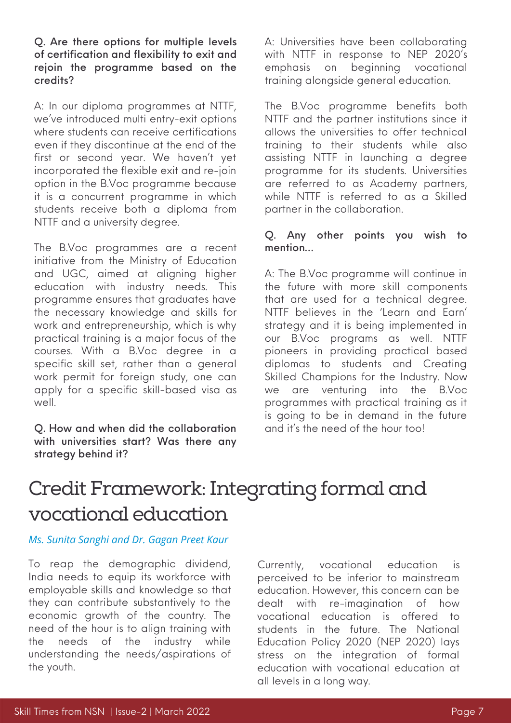A: In our diploma programmes at NTTF, we've introduced multi entry-exit options where students can receive certifications even if they discontinue at the end of the first or second year. We haven't yet incorporated the flexible exit and re-join option in the B.Voc programme because it is a concurrent programme in which students receive both a diploma from NTTF and a university degree.

The B.Voc programmes are a recent initiative from the Ministry of Education and UGC, aimed at aligning higher education with industry needs. This programme ensures that graduates have the necessary knowledge and skills for work and entrepreneurship, which is why practical training is a major focus of the courses. With a B.Voc degree in a specific skill set, rather than a general work permit for foreign study, one can apply for a specific skill-based visa as well.

Q. How and when did the collaboration with universities start? Was there any strategy behind it?

A: Universities have been collaborating with NTTF in response to NEP 2020's emphasis on beginning vocational training alongside general education.

The B.Voc programme benefits both NTTF and the partner institutions since it allows the universities to offer technical training to their students while also assisting NTTF in launching a degree programme for its students. Universities are referred to as Academy partners, while NTTF is referred to as a Skilled partner in the collaboration.

#### Q. Any other points you wish to mention…

A: The B.Voc programme will continue in the future with more skill components that are used for a technical degree. NTTF believes in the 'Learn and Earn' strategy and it is being implemented in our B.Voc programs as well. NTTF pioneers in providing practical based diplomas to students and Creating Skilled Champions for the Industry. Now we are venturing into the B.Voc programmes with practical training as it is going to be in demand in the future and it's the need of the hour too!

# Credit Framework: Integrating formal and vocational education

#### *Ms. Sunita Sanghi and Dr. Gagan Preet Kaur*

To reap the demographic dividend, India needs to equip its workforce with employable skills and knowledge so that they can contribute substantively to the economic growth of the country. The need of the hour is to align training with the needs of the industry while understanding the needs/aspirations of the youth.

Currently, vocational education is perceived to be inferior to mainstream education. However, this concern can be dealt with re-imagination of how vocational education is offered to students in the future. The National Education Policy 2020 (NEP 2020) lays stress on the integration of formal education with vocational education at all levels in a long way.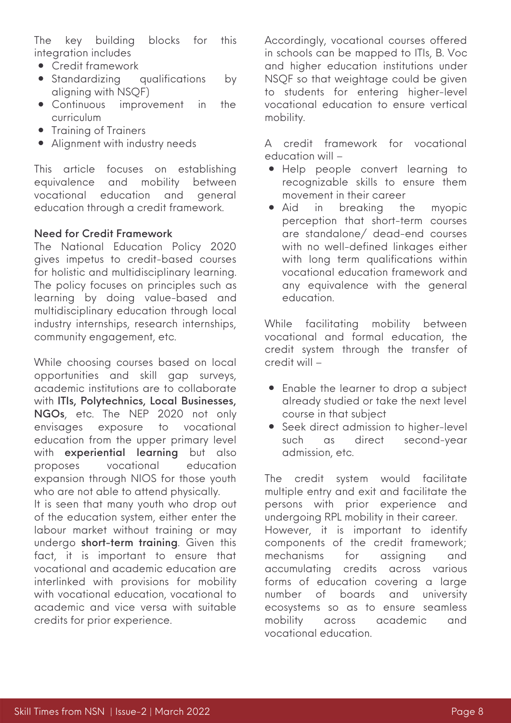The key building blocks for this integration includes

- Credit framework
- Standardizing qualifications by aligning with NSQF)
- Continuous improvement in the curriculum
- Training of Trainers
- Alignment with industry needs

This article focuses on establishing equivalence and mobility between vocational education and general education through a credit framework.

#### Need for Credit Framework

The National Education Policy 2020 gives impetus to credit-based courses for holistic and multidisciplinary learning. The policy focuses on principles such as learning by doing value-based and multidisciplinary education through local industry internships, research internships, community engagement, etc.

While choosing courses based on local opportunities and skill gap surveys, academic institutions are to collaborate with ITIs, Polytechnics, Local Businesses, NGOs, etc. The NEP 2020 not only envisages exposure to vocational education from the upper primary level with experiential learning but also proposes vocational education expansion through NIOS for those youth who are not able to attend physically.

It is seen that many youth who drop out of the education system, either enter the labour market without training or may undergo short-term training. Given this fact, it is important to ensure that vocational and academic education are interlinked with provisions for mobility with vocational education, vocational to academic and vice versa with suitable credits for prior experience.

Accordingly, vocational courses offered in schools can be mapped to ITIs, B. Voc and higher education institutions under NSQF so that weightage could be given to students for entering higher-level vocational education to ensure vertical mobility.

A credit framework for vocational education will –

- Help people convert learning to recognizable skills to ensure them movement in their career
- Aid in breaking the myopic perception that short-term courses are standalone/ dead-end courses with no well-defined linkages either with long term qualifications within vocational education framework and any equivalence with the general education.

While facilitating mobility between vocational and formal education, the credit system through the transfer of credit will –

- Enable the learner to drop a subject already studied or take the next level course in that subject
- **•** Seek direct admission to higher-level such as direct second-year admission, etc.

The credit system would facilitate multiple entry and exit and facilitate the persons with prior experience and undergoing RPL mobility in their career. However, it is important to identify components of the credit framework; mechanisms for assigning and accumulating credits across various forms of education covering a large number of boards and university ecosystems so as to ensure seamless mobility across academic and vocational education.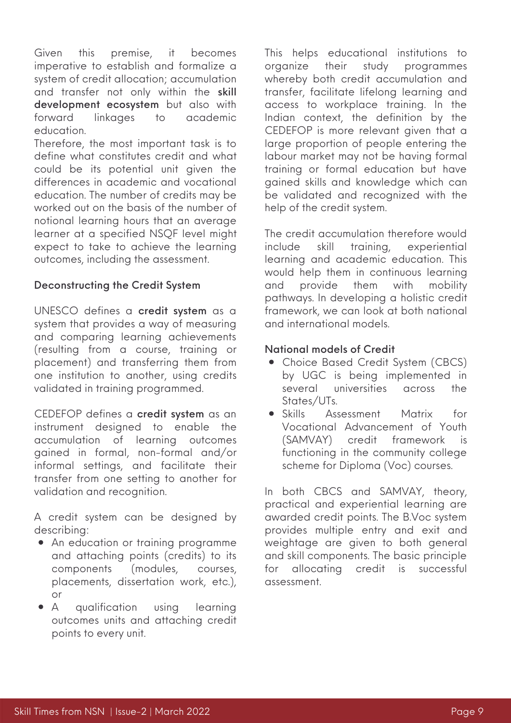Given this premise, it becomes imperative to establish and formalize a system of credit allocation; accumulation and transfer not only within the skill development ecosystem but also with forward linkages to academic education.

Therefore, the most important task is to define what constitutes credit and what could be its potential unit given the differences in academic and vocational education. The number of credits may be worked out on the basis of the number of notional learning hours that an average learner at a specified NSQF level might expect to take to achieve the learning outcomes, including the assessment.

#### Deconstructing the Credit System

UNESCO defines a credit system as a system that provides a way of measuring and comparing learning achievements (resulting from a course, training or placement) and transferring them from one institution to another, using credits validated in training programmed.

CEDEFOP defines a credit system as an instrument designed to enable the accumulation of learning outcomes gained in formal, non-formal and/or informal settings, and facilitate their transfer from one setting to another for validation and recognition.

A credit system can be designed by describing:

- An education or training programme and attaching points (credits) to its components (modules, courses, placements, dissertation work, etc.), or
- $\bullet$ A qualification using learning outcomes units and attaching credit points to every unit.

This helps educational institutions to organize their study programmes whereby both credit accumulation and transfer, facilitate lifelong learning and access to workplace training. In the Indian context, the definition by the CEDEFOP is more relevant given that a large proportion of people entering the labour market may not be having formal training or formal education but have gained skills and knowledge which can be validated and recognized with the help of the credit system.

The credit accumulation therefore would include skill training, experiential learning and academic education. This would help them in continuous learning and provide them with mobility pathways. In developing a holistic credit framework, we can look at both national and international models.

#### National models of Credit

- Choice Based Credit System (CBCS) by UGC is being implemented in several universities across the States/UTs.
- Skills Assessment Matrix for Vocational Advancement of Youth (SAMVAY) credit framework is functioning in the community college scheme for Diploma (Voc) courses.

In both CBCS and SAMVAY, theory, practical and experiential learning are awarded credit points. The B.Voc system provides multiple entry and exit and weightage are given to both general and skill components. The basic principle for allocating credit is successful assessment.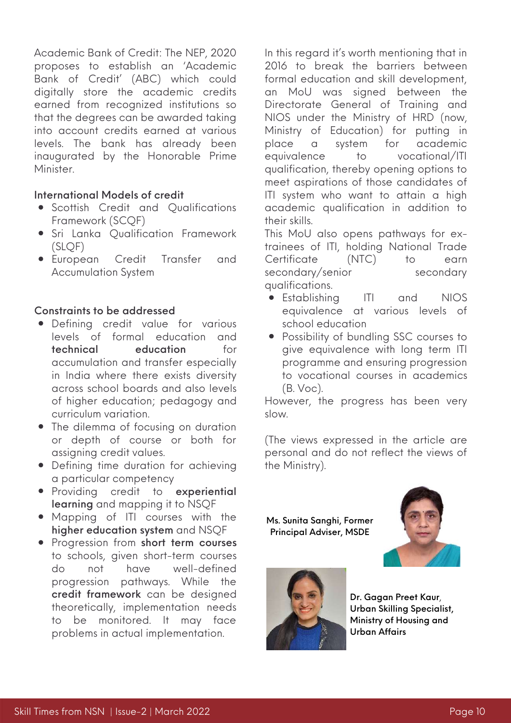Academic Bank of Credit: The NEP, 2020 proposes to establish an 'Academic Bank of Credit' (ABC) which could digitally store the academic credits earned from recognized institutions so that the degrees can be awarded taking into account credits earned at various levels. The bank has already been inaugurated by the Honorable Prime Minister.

#### International Models of credit

- Scottish Credit and Qualifications Framework (SCQF)
- **•** Sri Lanka Qualification Framework (SLQF)
- European Credit Transfer and Accumulation System

#### Constraints to be addressed

- Defining credit value for various levels of formal education and technical education for accumulation and transfer especially in India where there exists diversity across school boards and also levels of higher education; pedagogy and curriculum variation.
- The dilemma of focusing on duration or depth of course or both for assigning credit values.
- Defining time duration for achieving a particular competency
- **•** Providing credit to experiential learning and mapping it to NSQF
- Mapping of ITI courses with the higher education system and NSQF
- Progression from short term courses to schools, given short-term courses do not have well-defined progression pathways. While the credit framework can be designed theoretically, implementation needs to be monitored. It may face problems in actual implementation.

In this regard it's worth mentioning that in 2016 to break the barriers between formal education and skill development, an MoU was signed between the Directorate General of Training and NIOS under the Ministry of HRD (now, Ministry of Education) for putting in place a system for academic equivalence to vocational/ITI qualification, thereby opening options to meet aspirations of those candidates of ITI system who want to attain a high academic qualification in addition to their skills.

This MoU also opens pathways for extrainees of ITI, holding National Trade Certificate (NTC) to earn secondary/senior secondary qualifications.

- Establishing ITI and NIOS equivalence at various levels of school education
- Possibility of bundling SSC courses to give equivalence with long term ITI programme and ensuring progression to vocational courses in academics (B. Voc).

However, the progress has been very slow.

(The views expressed in the article are personal and do not reflect the views of the Ministry).

Ms. Sunita [Sanghi](https://www.linkedin.com/in/sunita-sanghi-64557568/), Former Principal Adviser, MSDE





Dr. [Gagan](https://www.linkedin.com/in/gagan-preet-kaur-ph-d-ab6bb517/) Preet Kaur, Urban Skilling Specialist, Ministry of Housing and Urban Affairs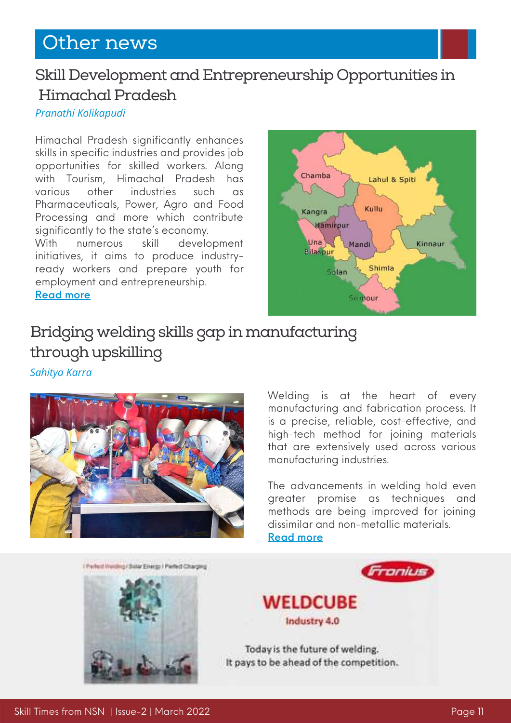### Other news

### Skill Development and Entrepreneurship Opportunities in Himachal Pradesh

#### *Pranathi Kolikapudi*

Himachal Pradesh significantly enhances skills in specific industries and provides job opportunities for skilled workers. Along with Tourism, Himachal Pradesh has various other industries such as Pharmaceuticals, Power, Agro and Food Processing and more which contribute significantly to the state's economy.

With numerous skill development initiatives, it aims to produce industryready workers and prepare youth for employment and entrepreneurship. [Read](https://www.nationalskillsnetwork.in/skill-development-and-vocational-training-opportunities-in-himachal-pradesh/) more



### Bridging welding skills gap in manufacturing through upskilling

*Sahitya Karra*



Welding is at the heart of every manufacturing and fabrication process. It is a precise, reliable, cost-effective, and high-tech method for joining materials that are extensively used across various manufacturing industries.

The advancements in welding hold even greater promise as techniques and methods are being improved for joining dissimilar and non-metallic materials. [Read](https://www.nationalskillsnetwork.in/bridging-welding-skills-gap-in-manufacturing-through-upskilling/) more

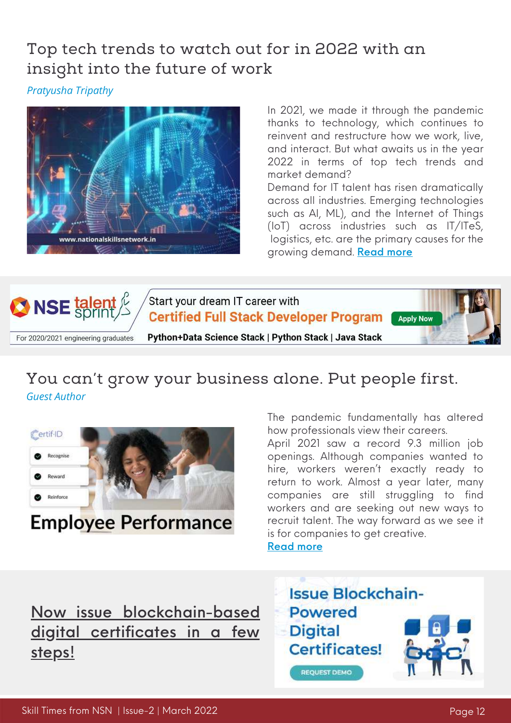### Top tech trends to watch out for in 2022 with an insight into the future of work

*Pratyusha Tripathy*



In 2021, we made it through the pandemic thanks to technology, which continues to reinvent and restructure how we work, live, and interact. But what awaits us in the year 2022 in terms of top tech trends and market demand?

Demand for IT talent has risen dramatically across all industries. Emerging technologies such as AI, ML), and the Internet of Things (IoT) across industries such as IT/ITeS, logistics, etc. are the primary causes for the growing demand. [Read](https://www.nationalskillsnetwork.in/top-tech-trends-to-watch-out-for-in-2022-with-an-insight-into-the-future-of-work/) more



### You can't grow your business alone. Put people first. *Guest Author*



# **Employee Performance**

The pandemic fundamentally has altered how professionals view their careers.

April 2021 saw a record 9.3 million job open[ings](https://edition.cnn.com/2021/06/08/economy/jobs-openings-april/index.html). Although [companies](https://edition.cnn.com/2021/06/08/economy/jobs-openings-april/index.html) wanted to hire, workers weren't exactly ready to return to work. Almost a year later, many companies are still struggling to find workers and are seeking out new ways to recruit talent. The way forward as we see it is for companies to get creative.

[Read](https://www.nationalskillsnetwork.in/you-cant-grow-your-business-alone-put-people-first/) more

Now issue [blockchain-based](https://www.nationalskillsnetwork.in/certif-id/) digital certificates in a few steps!

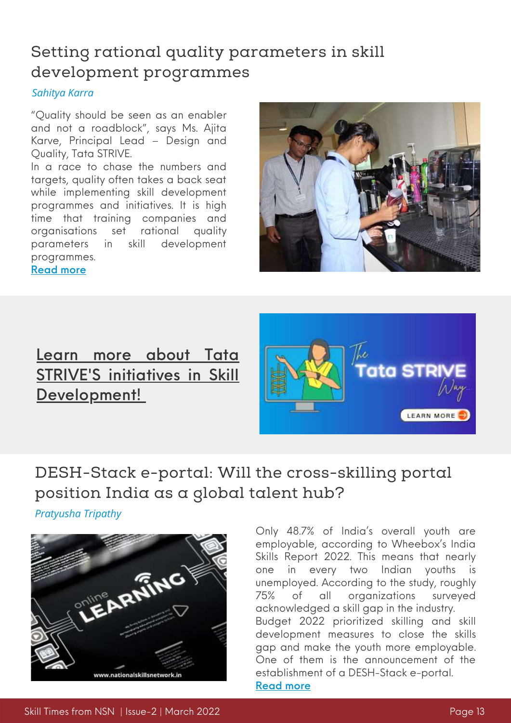### Setting rational quality parameters in skill development programmes

*Sahitya Karra*

"Quality should be seen as an enabler and not a roadblock", says Ms. Ajita Karve, Principal Lead – Design and Quality, Tata STRIVE.

In a race to chase the numbers and targets, quality often takes a back seat while implementing skill development programmes and initiatives. It is high time that training companies and organisations set rational quality parameters in skill development programmes. [Read](https://www.nationalskillsnetwork.in/setting-rational-quality-parameters-in-skill-development-programmes/) more



### Learn more about Tata STRIVE'S initi[a](https://www.nationalskillsnetwork.in/tata-strive/)tives in Skill [Development!](https://www.nationalskillsnetwork.in/tata-strive/)



## DESH-Stack e-portal: Will the cross-skilling portal position India as a global talent hub?

*Pratyusha Tripathy*



Only 48.7% of India's overall youth are employable, according to Wheebox's India Skills Report 2022. This means that nearly one in every two Indian youths unemployed. According to the study, roughly 75% of all organizations surveyed acknowledged a skill gap in the industry. Budget 2022 prioritized skilling and skill development measures to close the skills gap and make the youth more employable. One of them is the announcement of the establishment of a DESH-Stack e-portal. [Read](https://www.nationalskillsnetwork.in/desh-stack-e-portal-will-the-cross-skilling-portal-position-india-as-a-global-talent-hub/) more